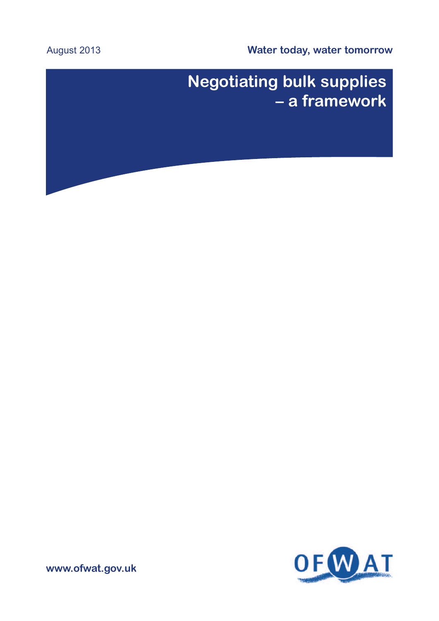**Water today, water tomorrow**

# August 2013

# **Negotiating bulk supplies – a framework**



**www.ofwat.gov.uk**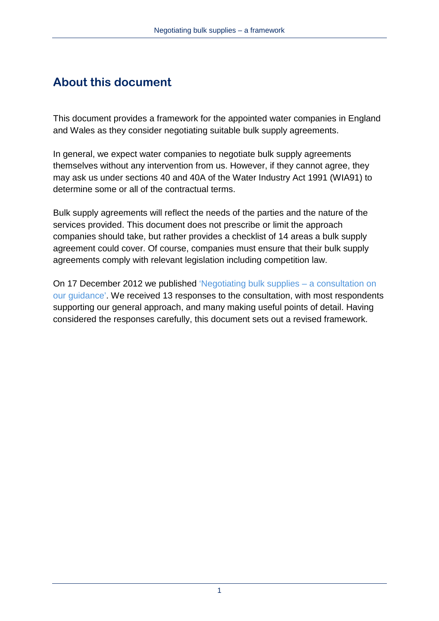# **About this document**

This document provides a framework for the appointed water companies in England and Wales as they consider negotiating suitable bulk supply agreements.

In general, we expect water companies to negotiate bulk supply agreements themselves without any intervention from us. However, if they cannot agree, they may ask us under sections 40 and 40A of the Water Industry Act 1991 (WIA91) to determine some or all of the contractual terms.

Bulk supply agreements will reflect the needs of the parties and the nature of the services provided. This document does not prescribe or limit the approach companies should take, but rather provides a checklist of 14 areas a bulk supply agreement could cover. Of course, companies must ensure that their bulk supply agreements comply with relevant legislation including competition law.

<span id="page-1-0"></span>On 17 December 2012 we published ['Negotiating bulk supplies – a consultation on](http://www.ofwat.gov.uk/competition/review/pap_con121218bulksupply.pdf?download=Download)  [our guidance'](http://www.ofwat.gov.uk/competition/review/pap_con121218bulksupply.pdf?download=Download). We received 13 responses to the consultation, with most respondents supporting our general approach, and many making useful points of detail. Having considered the responses carefully, this document sets out a revised framework.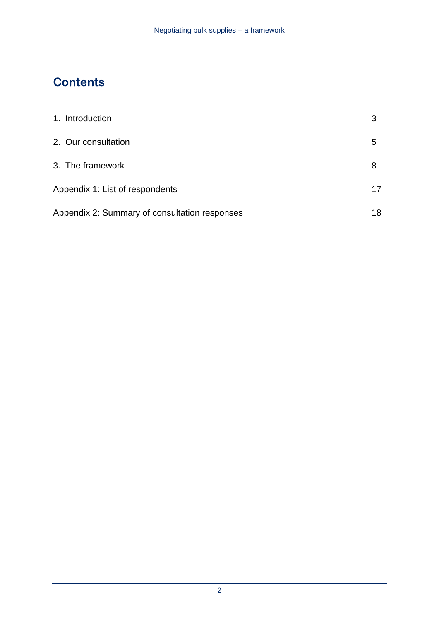# **Contents**

| 1. Introduction                               | 3  |
|-----------------------------------------------|----|
| 2. Our consultation                           | 5  |
| 3. The framework                              | 8  |
| Appendix 1: List of respondents               | 17 |
| Appendix 2: Summary of consultation responses | 18 |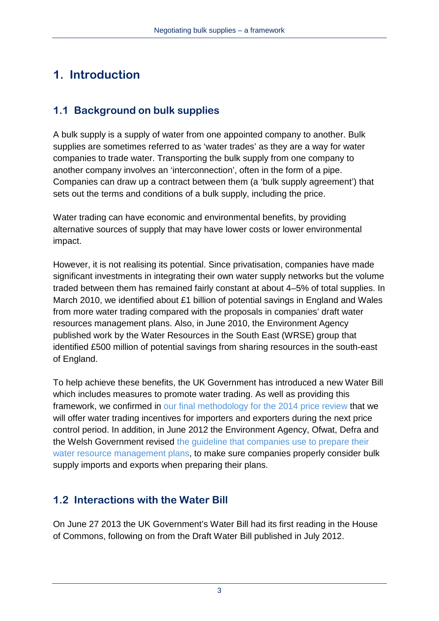# **1. Introduction**

# **1.1 Background on bulk supplies**

A bulk supply is a supply of water from one appointed company to another. Bulk supplies are sometimes referred to as 'water trades' as they are a way for water companies to trade water. Transporting the bulk supply from one company to another company involves an 'interconnection', often in the form of a pipe. Companies can draw up a contract between them (a 'bulk supply agreement') that sets out the terms and conditions of a bulk supply, including the price.

Water trading can have economic and environmental benefits, by providing alternative sources of supply that may have lower costs or lower environmental impact.

However, it is not realising its potential. Since privatisation, companies have made significant investments in integrating their own water supply networks but the volume traded between them has remained fairly constant at about 4–5% of total supplies. In March 2010, we identified about £1 billion of potential savings in England and Wales from more water trading compared with the proposals in companies' draft water resources management plans. Also, in June 2010, the Environment Agency published work by the Water Resources in the South East (WRSE) group that identified £500 million of potential savings from sharing resources in the south-east of England.

To help achieve these benefits, the UK Government has introduced a new Water Bill which includes measures to promote water trading. As well as providing this framework, we confirmed in our final methodology [for the 2014 price review](http://www.ofwat.gov.uk/pricereview/pr14/prs_web201307finalapproach) that we will offer water trading incentives for importers and exporters during the next price control period. In addition, in June 2012 the Environment Agency, Ofwat, Defra and the Welsh Government revised [the guideline that companies use to prepare their](http://www.environment-agency.gov.uk/business/sectors/32399.aspx)  [water resource management plans,](http://www.environment-agency.gov.uk/business/sectors/32399.aspx) to make sure companies properly consider bulk supply imports and exports when preparing their plans.

# **1.2 Interactions with the Water Bill**

On June 27 2013 the UK Government's Water Bill had its first reading in the House of Commons, following on from the Draft Water Bill published in July 2012.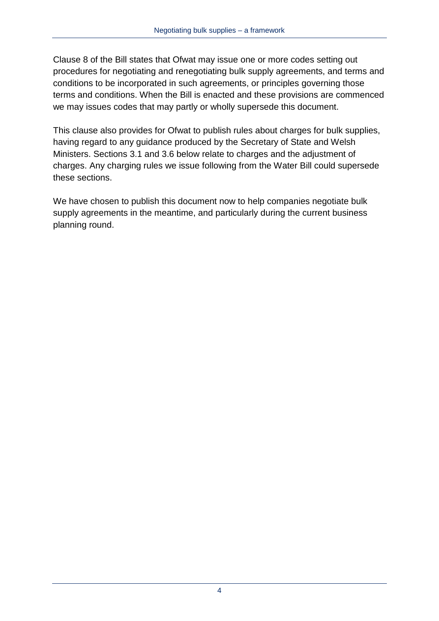Clause 8 of the Bill states that Ofwat may issue one or more codes setting out procedures for negotiating and renegotiating bulk supply agreements, and terms and conditions to be incorporated in such agreements, or principles governing those terms and conditions. When the Bill is enacted and these provisions are commenced we may issues codes that may partly or wholly supersede this document.

This clause also provides for Ofwat to publish rules about charges for bulk supplies, having regard to any guidance produced by the Secretary of State and Welsh Ministers. Sections 3.1 and 3.6 below relate to charges and the adjustment of charges. Any charging rules we issue following from the Water Bill could supersede these sections.

We have chosen to publish this document now to help companies negotiate bulk supply agreements in the meantime, and particularly during the current business planning round.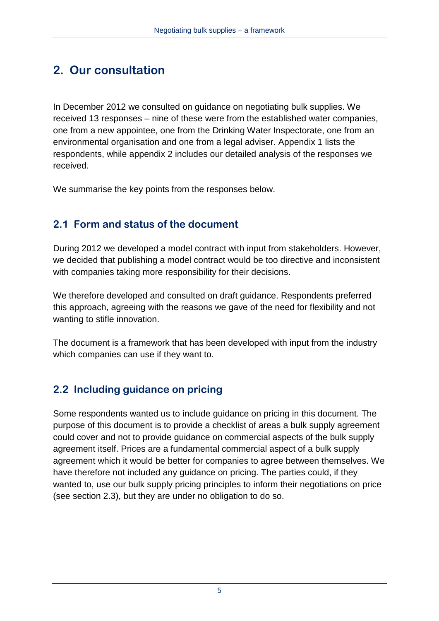# **2. Our consultation**

In December 2012 we consulted on guidance on negotiating bulk supplies. We received 13 responses – nine of these were from the established water companies, one from a new appointee, one from the Drinking Water Inspectorate, one from an environmental organisation and one from a legal adviser. Appendix 1 lists the respondents, while appendix 2 includes our detailed analysis of the responses we received.

We summarise the key points from the responses below.

# **2.1 Form and status of the document**

During 2012 we developed a model contract with input from stakeholders. However, we decided that publishing a model contract would be too directive and inconsistent with companies taking more responsibility for their decisions.

We therefore developed and consulted on draft guidance. Respondents preferred this approach, agreeing with the reasons we gave of the need for flexibility and not wanting to stifle innovation.

The document is a framework that has been developed with input from the industry which companies can use if they want to.

# **2.2 Including guidance on pricing**

Some respondents wanted us to include guidance on pricing in this document. The purpose of this document is to provide a checklist of areas a bulk supply agreement could cover and not to provide guidance on commercial aspects of the bulk supply agreement itself. Prices are a fundamental commercial aspect of a bulk supply agreement which it would be better for companies to agree between themselves. We have therefore not included any guidance on pricing. The parties could, if they wanted to, use our bulk supply pricing principles to inform their negotiations on price (see section 2.3), but they are under no obligation to do so.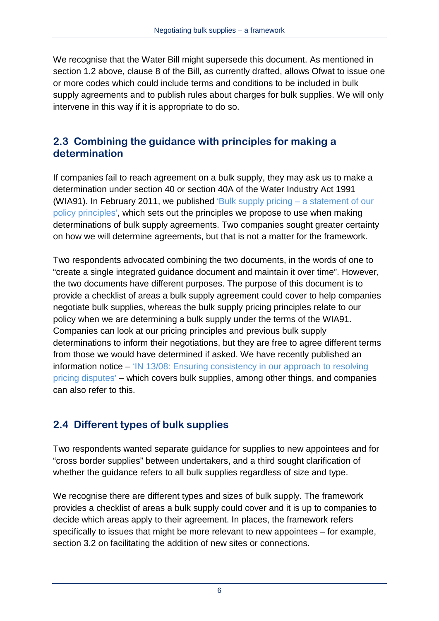We recognise that the Water Bill might supersede this document. As mentioned in section 1.2 above, clause 8 of the Bill, as currently drafted, allows Ofwat to issue one or more codes which could include terms and conditions to be included in bulk supply agreements and to publish rules about charges for bulk supplies. We will only intervene in this way if it is appropriate to do so.

#### **2.3 Combining the guidance with principles for making a determination**

If companies fail to reach agreement on a bulk supply, they may ask us to make a determination under section 40 or section 40A of the Water Industry Act 1991 (WIA91). In February 2011, we published 'Bulk supply pricing  $-$  a statement of our [policy principles'](http://www.ofwat.gov.uk/competition/inset/pap_pos110228navbulksupply.pdf), which sets out the principles we propose to use when making determinations of bulk supply agreements. Two companies sought greater certainty on how we will determine agreements, but that is not a matter for the framework.

Two respondents advocated combining the two documents, in the words of one to "create a single integrated guidance document and maintain it over time". However, the two documents have different purposes. The purpose of this document is to provide a checklist of areas a bulk supply agreement could cover to help companies negotiate bulk supplies, whereas the bulk supply pricing principles relate to our policy when we are determining a bulk supply under the terms of the WIA91. Companies can look at our pricing principles and previous bulk supply determinations to inform their negotiations, but they are free to agree different terms from those we would have determined if asked. We have recently published an information notice – ['IN 13/08: Ensuring consistency in our approach to resolving](http://www.ofwat.gov.uk/regulating/casework/prs_in1308bulksupply.pdf)  [pricing disputes'](http://www.ofwat.gov.uk/regulating/casework/prs_in1308bulksupply.pdf) – which covers bulk supplies, among other things, and companies can also refer to this.

#### **2.4 Different types of bulk supplies**

Two respondents wanted separate guidance for supplies to new appointees and for "cross border supplies" between undertakers, and a third sought clarification of whether the guidance refers to all bulk supplies regardless of size and type.

We recognise there are different types and sizes of bulk supply. The framework provides a checklist of areas a bulk supply could cover and it is up to companies to decide which areas apply to their agreement. In places, the framework refers specifically to issues that might be more relevant to new appointees – for example, section 3.2 on facilitating the addition of new sites or connections.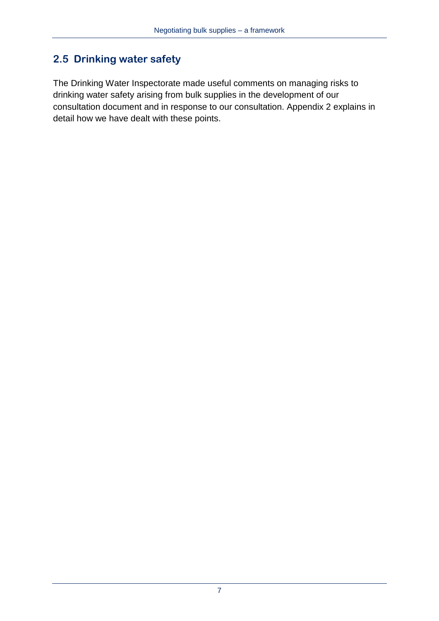### **2.5 Drinking water safety**

The Drinking Water Inspectorate made useful comments on managing risks to drinking water safety arising from bulk supplies in the development of our consultation document and in response to our consultation. Appendix 2 explains in detail how we have dealt with these points.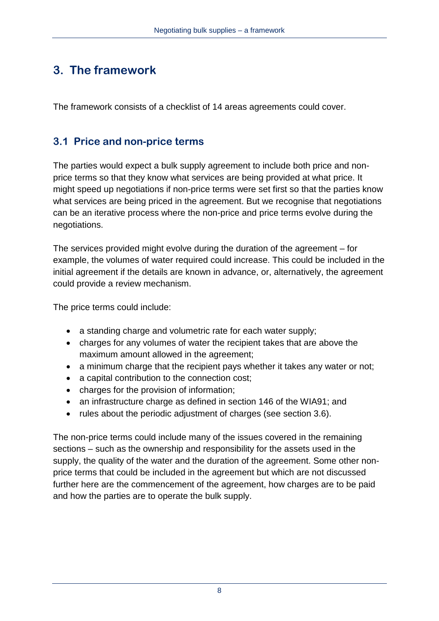# **3. The framework**

The framework consists of a checklist of 14 areas agreements could cover.

### **3.1 Price and non-price terms**

The parties would expect a bulk supply agreement to include both price and nonprice terms so that they know what services are being provided at what price. It might speed up negotiations if non-price terms were set first so that the parties know what services are being priced in the agreement. But we recognise that negotiations can be an iterative process where the non-price and price terms evolve during the negotiations.

The services provided might evolve during the duration of the agreement – for example, the volumes of water required could increase. This could be included in the initial agreement if the details are known in advance, or, alternatively, the agreement could provide a review mechanism.

The price terms could include:

- a standing charge and volumetric rate for each water supply;
- charges for any volumes of water the recipient takes that are above the maximum amount allowed in the agreement;
- a minimum charge that the recipient pays whether it takes any water or not;
- a capital contribution to the connection cost;
- charges for the provision of information;
- an infrastructure charge as defined in section 146 of the WIA91; and
- rules about the periodic adjustment of charges (see section 3.6).

The non-price terms could include many of the issues covered in the remaining sections – such as the ownership and responsibility for the assets used in the supply, the quality of the water and the duration of the agreement. Some other nonprice terms that could be included in the agreement but which are not discussed further here are the commencement of the agreement, how charges are to be paid and how the parties are to operate the bulk supply.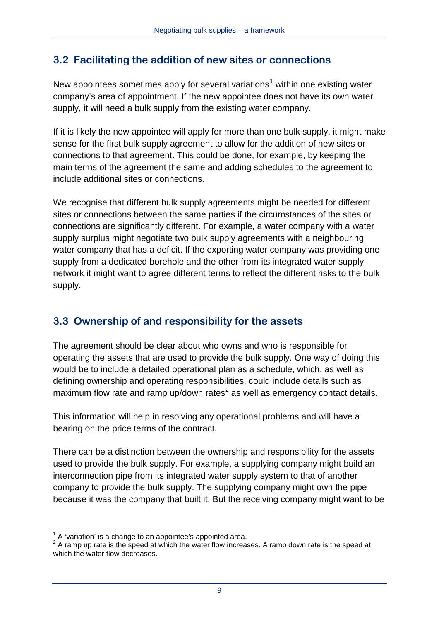#### **3.2 Facilitating the addition of new sites or connections**

New appointees sometimes apply for several variations<sup>[1](#page-1-0)</sup> within one existing water company's area of appointment. If the new appointee does not have its own water supply, it will need a bulk supply from the existing water company.

If it is likely the new appointee will apply for more than one bulk supply, it might make sense for the first bulk supply agreement to allow for the addition of new sites or connections to that agreement. This could be done, for example, by keeping the main terms of the agreement the same and adding schedules to the agreement to include additional sites or connections.

We recognise that different bulk supply agreements might be needed for different sites or connections between the same parties if the circumstances of the sites or connections are significantly different. For example, a water company with a water supply surplus might negotiate two bulk supply agreements with a neighbouring water company that has a deficit. If the exporting water company was providing one supply from a dedicated borehole and the other from its integrated water supply network it might want to agree different terms to reflect the different risks to the bulk supply.

#### **3.3 Ownership of and responsibility for the assets**

The agreement should be clear about who owns and who is responsible for operating the assets that are used to provide the bulk supply. One way of doing this would be to include a detailed operational plan as a schedule, which, as well as defining ownership and operating responsibilities, could include details such as maximum flow rate and ramp up/down rates<sup>[2](#page-9-0)</sup> as well as emergency contact details.

This information will help in resolving any operational problems and will have a bearing on the price terms of the contract.

There can be a distinction between the ownership and responsibility for the assets used to provide the bulk supply. For example, a supplying company might build an interconnection pipe from its integrated water supply system to that of another company to provide the bulk supply. The supplying company might own the pipe because it was the company that built it. But the receiving company might want to be

 $\overline{a}$ A 'variation' is a change to an appointee's appointed area.

<span id="page-9-1"></span><span id="page-9-0"></span><sup>&</sup>lt;sup>2</sup> A ramp up rate is the speed at which the water flow increases. A ramp down rate is the speed at which the water flow decreases.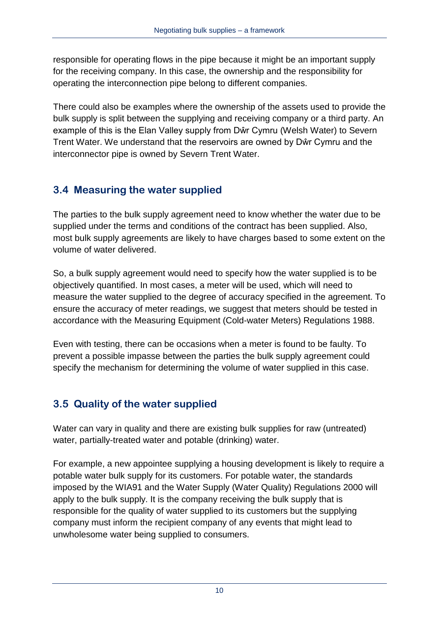responsible for operating flows in the pipe because it might be an important supply for the receiving company. In this case, the ownership and the responsibility for operating the interconnection pipe belong to different companies.

There could also be examples where the ownership of the assets used to provide the bulk supply is split between the supplying and receiving company or a third party. An example of this is the Elan Valley supply from Dŵr Cymru (Welsh Water) to Severn Trent Water. We understand that the reservoirs are owned by Dŵr Cymru and the interconnector pipe is owned by Severn Trent Water.

#### **3.4 Measuring the water supplied**

The parties to the bulk supply agreement need to know whether the water due to be supplied under the terms and conditions of the contract has been supplied. Also, most bulk supply agreements are likely to have charges based to some extent on the volume of water delivered.

So, a bulk supply agreement would need to specify how the water supplied is to be objectively quantified. In most cases, a meter will be used, which will need to measure the water supplied to the degree of accuracy specified in the agreement. To ensure the accuracy of meter readings, we suggest that meters should be tested in accordance with the Measuring Equipment (Cold-water Meters) Regulations 1988.

Even with testing, there can be occasions when a meter is found to be faulty. To prevent a possible impasse between the parties the bulk supply agreement could specify the mechanism for determining the volume of water supplied in this case.

# **3.5 Quality of the water supplied**

Water can vary in quality and there are existing bulk supplies for raw (untreated) water, partially-treated water and potable (drinking) water.

For example, a new appointee supplying a housing development is likely to require a potable water bulk supply for its customers. For potable water, the standards imposed by the WIA91 and the Water Supply (Water Quality) Regulations 2000 will apply to the bulk supply. It is the company receiving the bulk supply that is responsible for the quality of water supplied to its customers but the supplying company must inform the recipient company of any events that might lead to unwholesome water being supplied to consumers.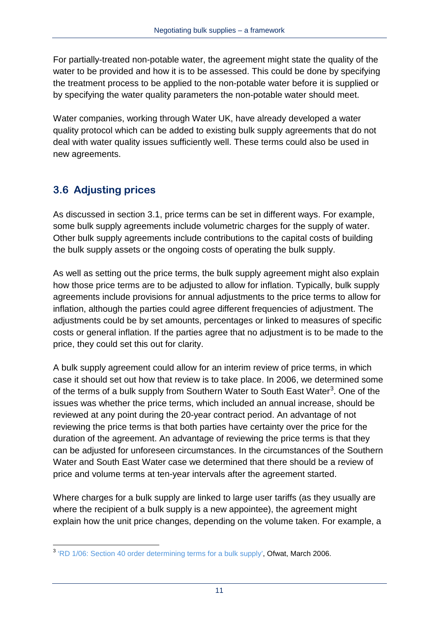For partially-treated non-potable water, the agreement might state the quality of the water to be provided and how it is to be assessed. This could be done by specifying the treatment process to be applied to the non-potable water before it is supplied or by specifying the water quality parameters the non-potable water should meet.

Water companies, working through Water UK, have already developed a water quality protocol which can be added to existing bulk supply agreements that do not deal with water quality issues sufficiently well. These terms could also be used in new agreements.

# **3.6 Adjusting prices**

As discussed in section 3.1, price terms can be set in different ways. For example, some bulk supply agreements include volumetric charges for the supply of water. Other bulk supply agreements include contributions to the capital costs of building the bulk supply assets or the ongoing costs of operating the bulk supply.

As well as setting out the price terms, the bulk supply agreement might also explain how those price terms are to be adjusted to allow for inflation. Typically, bulk supply agreements include provisions for annual adjustments to the price terms to allow for inflation, although the parties could agree different frequencies of adjustment. The adjustments could be by set amounts, percentages or linked to measures of specific costs or general inflation. If the parties agree that no adjustment is to be made to the price, they could set this out for clarity.

A bulk supply agreement could allow for an interim review of price terms, in which case it should set out how that review is to take place. In 2006, we determined some of the terms of a bulk supply from Southern Water to South East Water<sup>[3](#page-9-1)</sup>. One of the issues was whether the price terms, which included an annual increase, should be reviewed at any point during the 20-year contract period. An advantage of not reviewing the price terms is that both parties have certainty over the price for the duration of the agreement. An advantage of reviewing the price terms is that they can be adjusted for unforeseen circumstances. In the circumstances of the Southern Water and South East Water case we determined that there should be a review of price and volume terms at ten-year intervals after the agreement started.

Where charges for a bulk supply are linked to large user tariffs (as they usually are where the recipient of a bulk supply is a new appointee), the agreement might explain how the unit price changes, depending on the volume taken. For example, a

 $\overline{a}$  $3$  ['RD 1/06: Section 40 order determining terms for a bulk supply',](http://www.ofwat.gov.uk/sustainability/waterresources/ltr_rd0106_s40detbulksupply) Ofwat, March 2006.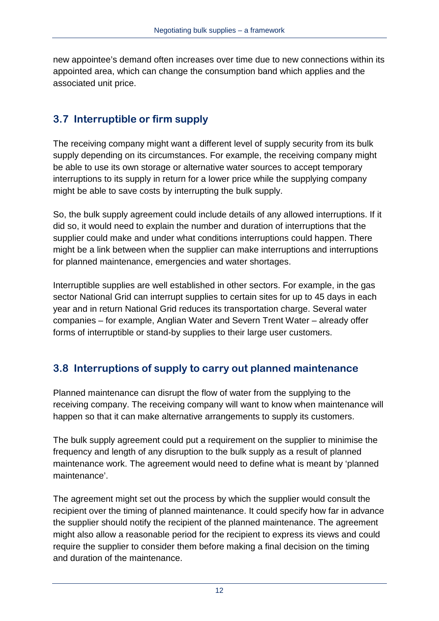new appointee's demand often increases over time due to new connections within its appointed area, which can change the consumption band which applies and the associated unit price.

# **3.7 Interruptible or firm supply**

The receiving company might want a different level of supply security from its bulk supply depending on its circumstances. For example, the receiving company might be able to use its own storage or alternative water sources to accept temporary interruptions to its supply in return for a lower price while the supplying company might be able to save costs by interrupting the bulk supply.

So, the bulk supply agreement could include details of any allowed interruptions. If it did so, it would need to explain the number and duration of interruptions that the supplier could make and under what conditions interruptions could happen. There might be a link between when the supplier can make interruptions and interruptions for planned maintenance, emergencies and water shortages.

Interruptible supplies are well established in other sectors. For example, in the gas sector National Grid can interrupt supplies to certain sites for up to 45 days in each year and in return National Grid reduces its transportation charge. Several water companies – for example, Anglian Water and Severn Trent Water – already offer forms of interruptible or stand-by supplies to their large user customers.

# **3.8 Interruptions of supply to carry out planned maintenance**

Planned maintenance can disrupt the flow of water from the supplying to the receiving company. The receiving company will want to know when maintenance will happen so that it can make alternative arrangements to supply its customers.

The bulk supply agreement could put a requirement on the supplier to minimise the frequency and length of any disruption to the bulk supply as a result of planned maintenance work. The agreement would need to define what is meant by 'planned maintenance'.

The agreement might set out the process by which the supplier would consult the recipient over the timing of planned maintenance. It could specify how far in advance the supplier should notify the recipient of the planned maintenance. The agreement might also allow a reasonable period for the recipient to express its views and could require the supplier to consider them before making a final decision on the timing and duration of the maintenance.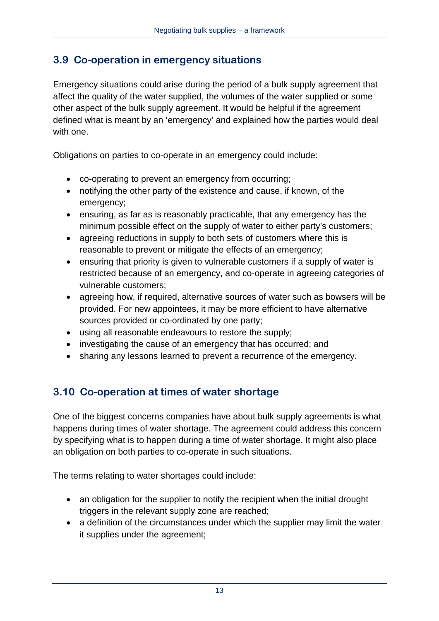#### **3.9 Co-operation in emergency situations**

Emergency situations could arise during the period of a bulk supply agreement that affect the quality of the water supplied, the volumes of the water supplied or some other aspect of the bulk supply agreement. It would be helpful if the agreement defined what is meant by an 'emergency' and explained how the parties would deal with one.

Obligations on parties to co-operate in an emergency could include:

- co-operating to prevent an emergency from occurring;
- notifying the other party of the existence and cause, if known, of the emergency;
- ensuring, as far as is reasonably practicable, that any emergency has the minimum possible effect on the supply of water to either party's customers;
- agreeing reductions in supply to both sets of customers where this is reasonable to prevent or mitigate the effects of an emergency;
- ensuring that priority is given to vulnerable customers if a supply of water is restricted because of an emergency, and co-operate in agreeing categories of vulnerable customers;
- agreeing how, if required, alternative sources of water such as bowsers will be provided. For new appointees, it may be more efficient to have alternative sources provided or co-ordinated by one party;
- using all reasonable endeavours to restore the supply;
- investigating the cause of an emergency that has occurred; and
- sharing any lessons learned to prevent a recurrence of the emergency.

# **3.10 Co-operation at times of water shortage**

One of the biggest concerns companies have about bulk supply agreements is what happens during times of water shortage. The agreement could address this concern by specifying what is to happen during a time of water shortage. It might also place an obligation on both parties to co-operate in such situations.

The terms relating to water shortages could include:

- an obligation for the supplier to notify the recipient when the initial drought triggers in the relevant supply zone are reached;
- a definition of the circumstances under which the supplier may limit the water it supplies under the agreement;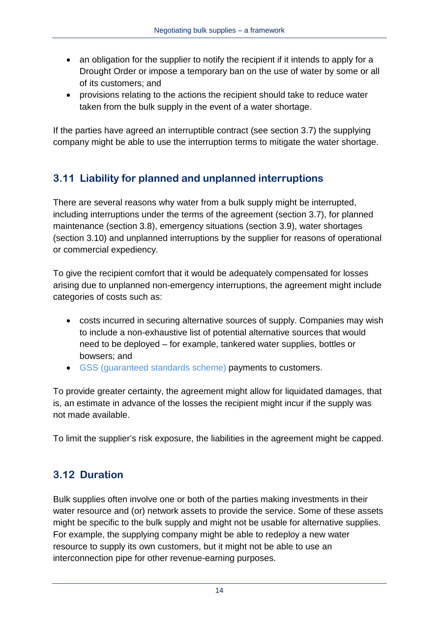- an obligation for the supplier to notify the recipient if it intends to apply for a Drought Order or impose a temporary ban on the use of water by some or all of its customers; and
- provisions relating to the actions the recipient should take to reduce water taken from the bulk supply in the event of a water shortage.

If the parties have agreed an interruptible contract (see section 3.7) the supplying company might be able to use the interruption terms to mitigate the water shortage.

# **3.11 Liability for planned and unplanned interruptions**

There are several reasons why water from a bulk supply might be interrupted, including interruptions under the terms of the agreement (section 3.7), for planned maintenance (section 3.8), emergency situations (section 3.9), water shortages (section 3.10) and unplanned interruptions by the supplier for reasons of operational or commercial expediency.

To give the recipient comfort that it would be adequately compensated for losses arising due to unplanned non-emergency interruptions, the agreement might include categories of costs such as:

- costs incurred in securing alternative sources of supply. Companies may wish to include a non-exhaustive list of potential alternative sources that would need to be deployed – for example, tankered water supplies, bottles or bowsers; and
- [GSS \(guaranteed standards scheme\)](http://www.ofwat.gov.uk/consumerissues/rightsresponsibilities/standards/gud_pro_gss08.pdf) payments to customers.

To provide greater certainty, the agreement might allow for liquidated damages, that is, an estimate in advance of the losses the recipient might incur if the supply was not made available.

To limit the supplier's risk exposure, the liabilities in the agreement might be capped.

#### **3.12 Duration**

Bulk supplies often involve one or both of the parties making investments in their water resource and (or) network assets to provide the service. Some of these assets might be specific to the bulk supply and might not be usable for alternative supplies. For example, the supplying company might be able to redeploy a new water resource to supply its own customers, but it might not be able to use an interconnection pipe for other revenue-earning purposes.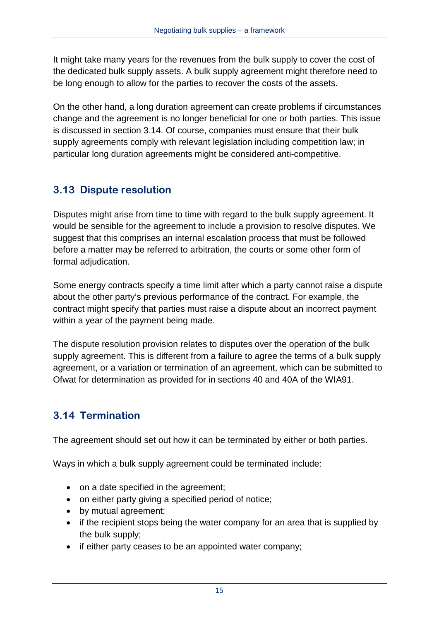It might take many years for the revenues from the bulk supply to cover the cost of the dedicated bulk supply assets. A bulk supply agreement might therefore need to be long enough to allow for the parties to recover the costs of the assets.

On the other hand, a long duration agreement can create problems if circumstances change and the agreement is no longer beneficial for one or both parties. This issue is discussed in section 3.14. Of course, companies must ensure that their bulk supply agreements comply with relevant legislation including competition law; in particular long duration agreements might be considered anti-competitive.

#### **3.13 Dispute resolution**

Disputes might arise from time to time with regard to the bulk supply agreement. It would be sensible for the agreement to include a provision to resolve disputes. We suggest that this comprises an internal escalation process that must be followed before a matter may be referred to arbitration, the courts or some other form of formal adjudication.

Some energy contracts specify a time limit after which a party cannot raise a dispute about the other party's previous performance of the contract. For example, the contract might specify that parties must raise a dispute about an incorrect payment within a year of the payment being made.

The dispute resolution provision relates to disputes over the operation of the bulk supply agreement. This is different from a failure to agree the terms of a bulk supply agreement, or a variation or termination of an agreement, which can be submitted to Ofwat for determination as provided for in sections 40 and 40A of the WIA91.

#### **3.14 Termination**

The agreement should set out how it can be terminated by either or both parties.

Ways in which a bulk supply agreement could be terminated include:

- on a date specified in the agreement;
- on either party giving a specified period of notice;
- by mutual agreement;
- if the recipient stops being the water company for an area that is supplied by the bulk supply;
- if either party ceases to be an appointed water company;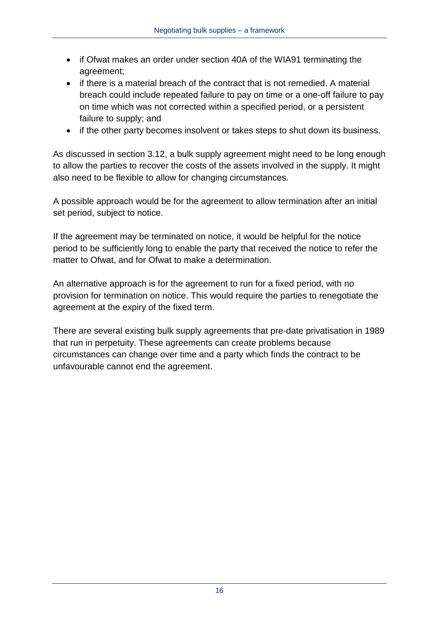- if Ofwat makes an order under section 40A of the WIA91 terminating the agreement;
- if there is a material breach of the contract that is not remedied. A material breach could include repeated failure to pay on time or a one-off failure to pay on time which was not corrected within a specified period, or a persistent failure to supply; and
- if the other party becomes insolvent or takes steps to shut down its business.

As discussed in section 3.12, a bulk supply agreement might need to be long enough to allow the parties to recover the costs of the assets involved in the supply. It might also need to be flexible to allow for changing circumstances.

A possible approach would be for the agreement to allow termination after an initial set period, subject to notice.

If the agreement may be terminated on notice, it would be helpful for the notice period to be sufficiently long to enable the party that received the notice to refer the matter to Ofwat, and for Ofwat to make a determination.

An alternative approach is for the agreement to run for a fixed period, with no provision for termination on notice. This would require the parties to renegotiate the agreement at the expiry of the fixed term.

There are several existing bulk supply agreements that pre-date privatisation in 1989 that run in perpetuity. These agreements can create problems because circumstances can change over time and a party which finds the contract to be unfavourable cannot end the agreement.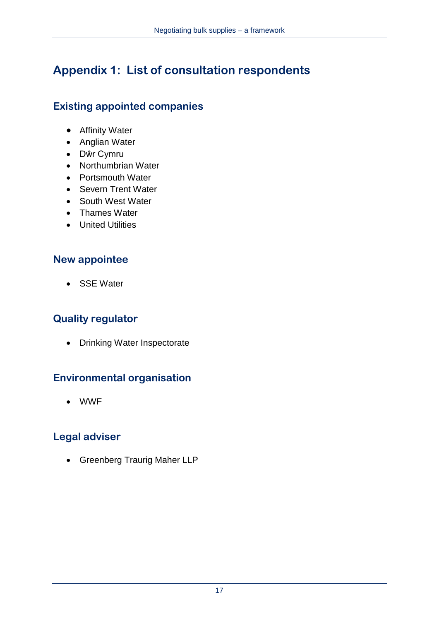# **Appendix 1: List of consultation respondents**

# **Existing appointed companies**

- Affinity Water
- Anglian Water
- Dŵr Cymru
- Northumbrian Water
- Portsmouth Water
- Severn Trent Water
- South West Water
- Thames Water
- United Utilities

#### **New appointee**

• SSE Water

# **Quality regulator**

• Drinking Water Inspectorate

# **Environmental organisation**

• WWF

# **Legal adviser**

• Greenberg Traurig Maher LLP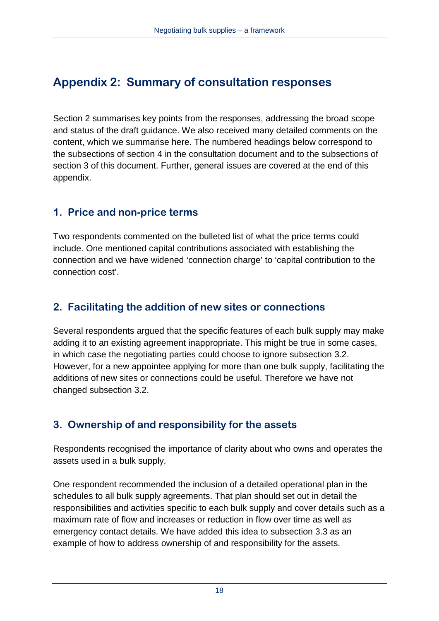# **Appendix 2: Summary of consultation responses**

Section 2 summarises key points from the responses, addressing the broad scope and status of the draft guidance. We also received many detailed comments on the content, which we summarise here. The numbered headings below correspond to the subsections of section 4 in the consultation document and to the subsections of section 3 of this document. Further, general issues are covered at the end of this appendix.

#### **1. Price and non-price terms**

Two respondents commented on the bulleted list of what the price terms could include. One mentioned capital contributions associated with establishing the connection and we have widened 'connection charge' to 'capital contribution to the connection cost'.

#### **2. Facilitating the addition of new sites or connections**

Several respondents argued that the specific features of each bulk supply may make adding it to an existing agreement inappropriate. This might be true in some cases, in which case the negotiating parties could choose to ignore subsection 3.2. However, for a new appointee applying for more than one bulk supply, facilitating the additions of new sites or connections could be useful. Therefore we have not changed subsection 3.2.

#### **3. Ownership of and responsibility for the assets**

Respondents recognised the importance of clarity about who owns and operates the assets used in a bulk supply.

One respondent recommended the inclusion of a detailed operational plan in the schedules to all bulk supply agreements. That plan should set out in detail the responsibilities and activities specific to each bulk supply and cover details such as a maximum rate of flow and increases or reduction in flow over time as well as emergency contact details. We have added this idea to subsection 3.3 as an example of how to address ownership of and responsibility for the assets.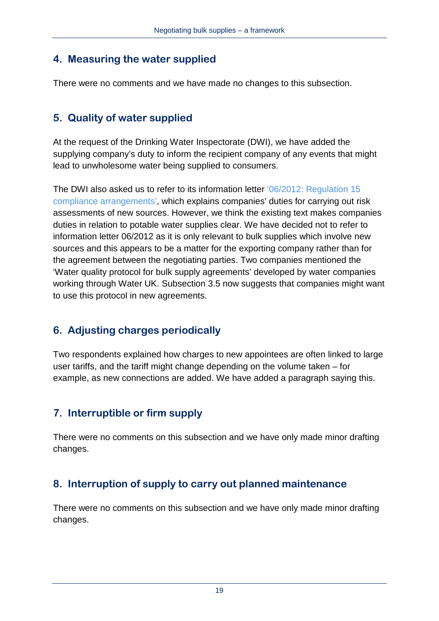#### **4. Measuring the water supplied**

There were no comments and we have made no changes to this subsection.

### **5. Quality of water supplied**

At the request of the Drinking Water Inspectorate (DWI), we have added the supplying company's duty to inform the recipient company of any events that might lead to unwholesome water being supplied to consumers.

The DWI also asked us to refer to its information letter ['06/2012: Regulation 15](http://dwi.defra.gov.uk/stakeholders/information-letters/2012/06-2012.pdf)  [compliance arrangements'](http://dwi.defra.gov.uk/stakeholders/information-letters/2012/06-2012.pdf), which explains companies' duties for carrying out risk assessments of new sources. However, we think the existing text makes companies duties in relation to potable water supplies clear. We have decided not to refer to information letter 06/2012 as it is only relevant to bulk supplies which involve new sources and this appears to be a matter for the exporting company rather than for the agreement between the negotiating parties. Two companies mentioned the 'Water quality protocol for bulk supply agreements' developed by water companies working through Water UK. Subsection 3.5 now suggests that companies might want to use this protocol in new agreements.

# **6. Adjusting charges periodically**

Two respondents explained how charges to new appointees are often linked to large user tariffs, and the tariff might change depending on the volume taken – for example, as new connections are added. We have added a paragraph saying this.

# **7. Interruptible or firm supply**

There were no comments on this subsection and we have only made minor drafting changes.

# **8. Interruption of supply to carry out planned maintenance**

There were no comments on this subsection and we have only made minor drafting changes.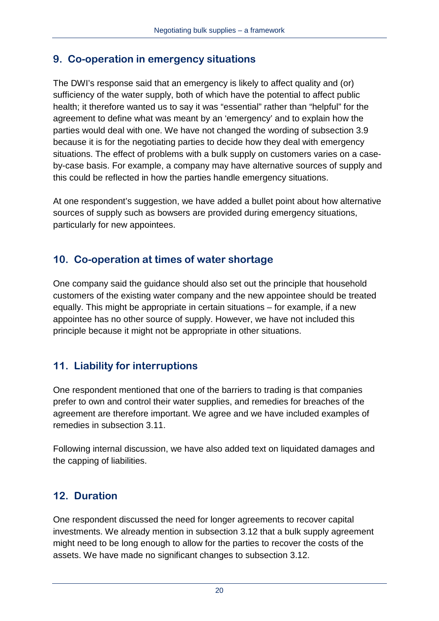#### **9. Co-operation in emergency situations**

The DWI's response said that an emergency is likely to affect quality and (or) sufficiency of the water supply, both of which have the potential to affect public health; it therefore wanted us to say it was "essential" rather than "helpful" for the agreement to define what was meant by an 'emergency' and to explain how the parties would deal with one. We have not changed the wording of subsection 3.9 because it is for the negotiating parties to decide how they deal with emergency situations. The effect of problems with a bulk supply on customers varies on a caseby-case basis. For example, a company may have alternative sources of supply and this could be reflected in how the parties handle emergency situations.

At one respondent's suggestion, we have added a bullet point about how alternative sources of supply such as bowsers are provided during emergency situations, particularly for new appointees.

#### **10. Co-operation at times of water shortage**

One company said the guidance should also set out the principle that household customers of the existing water company and the new appointee should be treated equally. This might be appropriate in certain situations – for example, if a new appointee has no other source of supply. However, we have not included this principle because it might not be appropriate in other situations.

# **11. Liability for interruptions**

One respondent mentioned that one of the barriers to trading is that companies prefer to own and control their water supplies, and remedies for breaches of the agreement are therefore important. We agree and we have included examples of remedies in subsection 3.11.

Following internal discussion, we have also added text on liquidated damages and the capping of liabilities.

#### **12. Duration**

One respondent discussed the need for longer agreements to recover capital investments. We already mention in subsection 3.12 that a bulk supply agreement might need to be long enough to allow for the parties to recover the costs of the assets. We have made no significant changes to subsection 3.12.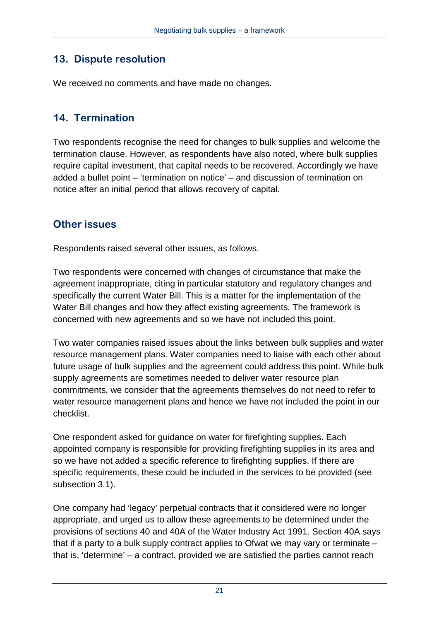#### **13. Dispute resolution**

We received no comments and have made no changes.

#### **14. Termination**

Two respondents recognise the need for changes to bulk supplies and welcome the termination clause. However, as respondents have also noted, where bulk supplies require capital investment, that capital needs to be recovered. Accordingly we have added a bullet point – 'termination on notice' – and discussion of termination on notice after an initial period that allows recovery of capital.

#### **Other issues**

Respondents raised several other issues, as follows.

Two respondents were concerned with changes of circumstance that make the agreement inappropriate, citing in particular statutory and regulatory changes and specifically the current Water Bill. This is a matter for the implementation of the Water Bill changes and how they affect existing agreements. The framework is concerned with new agreements and so we have not included this point.

Two water companies raised issues about the links between bulk supplies and water resource management plans. Water companies need to liaise with each other about future usage of bulk supplies and the agreement could address this point. While bulk supply agreements are sometimes needed to deliver water resource plan commitments, we consider that the agreements themselves do not need to refer to water resource management plans and hence we have not included the point in our checklist.

One respondent asked for guidance on water for firefighting supplies. Each appointed company is responsible for providing firefighting supplies in its area and so we have not added a specific reference to firefighting supplies. If there are specific requirements, these could be included in the services to be provided (see subsection 3.1).

One company had 'legacy' perpetual contracts that it considered were no longer appropriate, and urged us to allow these agreements to be determined under the provisions of sections 40 and 40A of the Water Industry Act 1991. Section 40A says that if a party to a bulk supply contract applies to Ofwat we may vary or terminate – that is, 'determine' – a contract, provided we are satisfied the parties cannot reach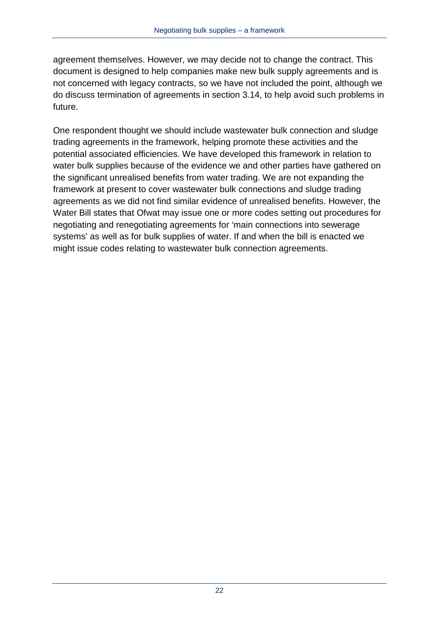agreement themselves. However, we may decide not to change the contract. This document is designed to help companies make new bulk supply agreements and is not concerned with legacy contracts, so we have not included the point, although we do discuss termination of agreements in section 3.14, to help avoid such problems in future.

One respondent thought we should include wastewater bulk connection and sludge trading agreements in the framework, helping promote these activities and the potential associated efficiencies. We have developed this framework in relation to water bulk supplies because of the evidence we and other parties have gathered on the significant unrealised benefits from water trading. We are not expanding the framework at present to cover wastewater bulk connections and sludge trading agreements as we did not find similar evidence of unrealised benefits. However, the Water Bill states that Ofwat may issue one or more codes setting out procedures for negotiating and renegotiating agreements for 'main connections into sewerage systems' as well as for bulk supplies of water. If and when the bill is enacted we might issue codes relating to wastewater bulk connection agreements.